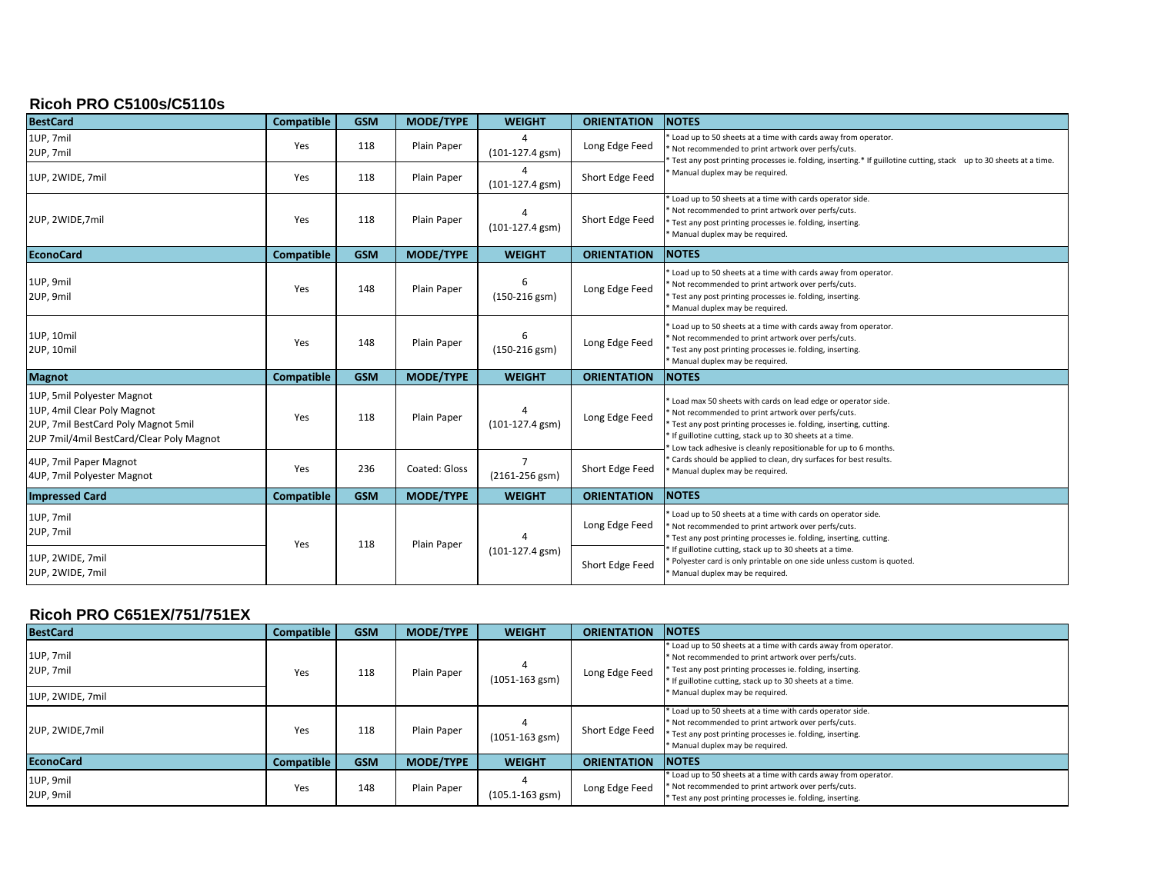## **Ricoh PRO C5100s/C5110s**

| <b>BestCard</b>                                                                                                                              | <b>Compatible</b> | <b>GSM</b> | <b>MODE/TYPE</b> | <b>WEIGHT</b>           | <b>ORIENTATION</b> | <b>NOTES</b>                                                                                                                                                                                                                                                                                                                                                |
|----------------------------------------------------------------------------------------------------------------------------------------------|-------------------|------------|------------------|-------------------------|--------------------|-------------------------------------------------------------------------------------------------------------------------------------------------------------------------------------------------------------------------------------------------------------------------------------------------------------------------------------------------------------|
| 1UP, 7mil<br>2UP, 7mil                                                                                                                       | Yes               | 118        | Plain Paper      | Δ<br>$(101-127.4$ gsm)  | Long Edge Feed     | Load up to 50 sheets at a time with cards away from operator.<br>Not recommended to print artwork over perfs/cuts.<br>Test any post printing processes ie. folding, inserting.* If guillotine cutting, stack up to 30 sheets at a time.                                                                                                                     |
| 1UP, 2WIDE, 7mil                                                                                                                             | Yes               | 118        | Plain Paper      | (101-127.4 gsm)         | Short Edge Feed    | Manual duplex may be required.                                                                                                                                                                                                                                                                                                                              |
| 2UP, 2WIDE, 7mil                                                                                                                             | Yes               | 118        | Plain Paper      | 4<br>$(101-127.4$ gsm)  | Short Edge Feed    | Load up to 50 sheets at a time with cards operator side.<br>Not recommended to print artwork over perfs/cuts.<br>Test any post printing processes ie. folding, inserting.<br>Manual duplex may be required.                                                                                                                                                 |
| <b>EconoCard</b>                                                                                                                             | <b>Compatible</b> | <b>GSM</b> | <b>MODE/TYPE</b> | <b>WEIGHT</b>           | <b>ORIENTATION</b> | <b>NOTES</b>                                                                                                                                                                                                                                                                                                                                                |
| 1UP, 9mil<br>2UP, 9mil                                                                                                                       | Yes               | 148        | Plain Paper      | 6<br>$(150-216$ gsm)    | Long Edge Feed     | Load up to 50 sheets at a time with cards away from operator.<br>Not recommended to print artwork over perfs/cuts.<br>Test any post printing processes ie. folding, inserting.<br>Manual duplex may be required.                                                                                                                                            |
| 1UP, 10mil<br>2UP, 10mil                                                                                                                     | Yes               | 148        | Plain Paper      | 6<br>$(150-216$ gsm $)$ | Long Edge Feed     | Load up to 50 sheets at a time with cards away from operator.<br>Not recommended to print artwork over perfs/cuts.<br>Test any post printing processes ie. folding, inserting.<br>Manual duplex may be required.                                                                                                                                            |
| <b>Magnot</b>                                                                                                                                | <b>Compatible</b> | <b>GSM</b> | <b>MODE/TYPE</b> | <b>WEIGHT</b>           | <b>ORIENTATION</b> | <b>NOTES</b>                                                                                                                                                                                                                                                                                                                                                |
| 1UP, 5mil Polyester Magnot<br>1UP, 4mil Clear Poly Magnot<br>2UP, 7mil BestCard Poly Magnot 5mil<br>2UP 7mil/4mil BestCard/Clear Poly Magnot | Yes               | 118        | Plain Paper      | $(101-127.4$ gsm)       | Long Edge Feed     | Load max 50 sheets with cards on lead edge or operator side.<br>Not recommended to print artwork over perfs/cuts.<br>Test any post printing processes ie. folding, inserting, cutting.<br>If guillotine cutting, stack up to 30 sheets at a time.<br>Low tack adhesive is cleanly repositionable for up to 6 months.                                        |
| 4UP, 7mil Paper Magnot<br>4UP, 7mil Polyester Magnot                                                                                         | Yes               | 236        | Coated: Gloss    | $(2161 - 256$ gsm)      | Short Edge Feed    | Cards should be applied to clean, dry surfaces for best results.<br>Manual duplex may be required.                                                                                                                                                                                                                                                          |
| <b>Impressed Card</b>                                                                                                                        | <b>Compatible</b> | <b>GSM</b> | <b>MODE/TYPE</b> | <b>WEIGHT</b>           | <b>ORIENTATION</b> | <b>NOTES</b>                                                                                                                                                                                                                                                                                                                                                |
| 1UP, 7mil<br>2UP, 7mil                                                                                                                       | Yes               | 118        | Plain Paper      | $(101-127.4$ gsm)       | Long Edge Feed     | Load up to 50 sheets at a time with cards on operator side.<br>Not recommended to print artwork over perfs/cuts.<br>Test any post printing processes ie. folding, inserting, cutting.<br>If guillotine cutting, stack up to 30 sheets at a time.<br>Polyester card is only printable on one side unless custom is quoted.<br>Manual duplex may be required. |
| 1UP, 2WIDE, 7mil<br>2UP, 2WIDE, 7mil                                                                                                         |                   |            |                  |                         | Short Edge Feed    |                                                                                                                                                                                                                                                                                                                                                             |

### **Ricoh PRO C651EX/751/751EX**

| <b>BestCard</b>        | <b>Compatible</b> | <b>GSM</b> | <b>MODE/TYPE</b> | <b>WEIGHT</b>       | <b>ORIENTATION</b> | <b>NOTES</b>                                                                                                                                                                                                                                      |
|------------------------|-------------------|------------|------------------|---------------------|--------------------|---------------------------------------------------------------------------------------------------------------------------------------------------------------------------------------------------------------------------------------------------|
| 1UP, 7mil<br>2UP, 7mil | Yes               | 118        | Plain Paper      | $(1051 - 163$ gsm)  | Long Edge Feed     | * Load up to 50 sheets at a time with cards away from operator.<br>* Not recommended to print artwork over perfs/cuts.<br>* Test any post printing processes ie. folding, inserting.<br>* If guillotine cutting, stack up to 30 sheets at a time. |
| 1UP, 2WIDE, 7mil       |                   |            |                  |                     |                    | * Manual duplex may be required.                                                                                                                                                                                                                  |
| 2UP, 2WIDE, 7mil       | Yes               | 118        | Plain Paper      | $(1051 - 163$ gsm)  | Short Edge Feed    | * Load up to 50 sheets at a time with cards operator side.<br>* Not recommended to print artwork over perfs/cuts.<br>* Test any post printing processes ie. folding, inserting.<br>* Manual duplex may be required.                               |
| <b>EconoCard</b>       | Compatible        | <b>GSM</b> | <b>MODE/TYPE</b> | <b>WEIGHT</b>       | <b>ORIENTATION</b> | <b>NOTES</b>                                                                                                                                                                                                                                      |
| 1UP, 9mil<br>2UP, 9mil | Yes               | 148        | Plain Paper      | $(105.1 - 163$ gsm) | Long Edge Feed     | * Load up to 50 sheets at a time with cards away from operator.<br>* Not recommended to print artwork over perfs/cuts.<br>* Test any post printing processes ie. folding, inserting.                                                              |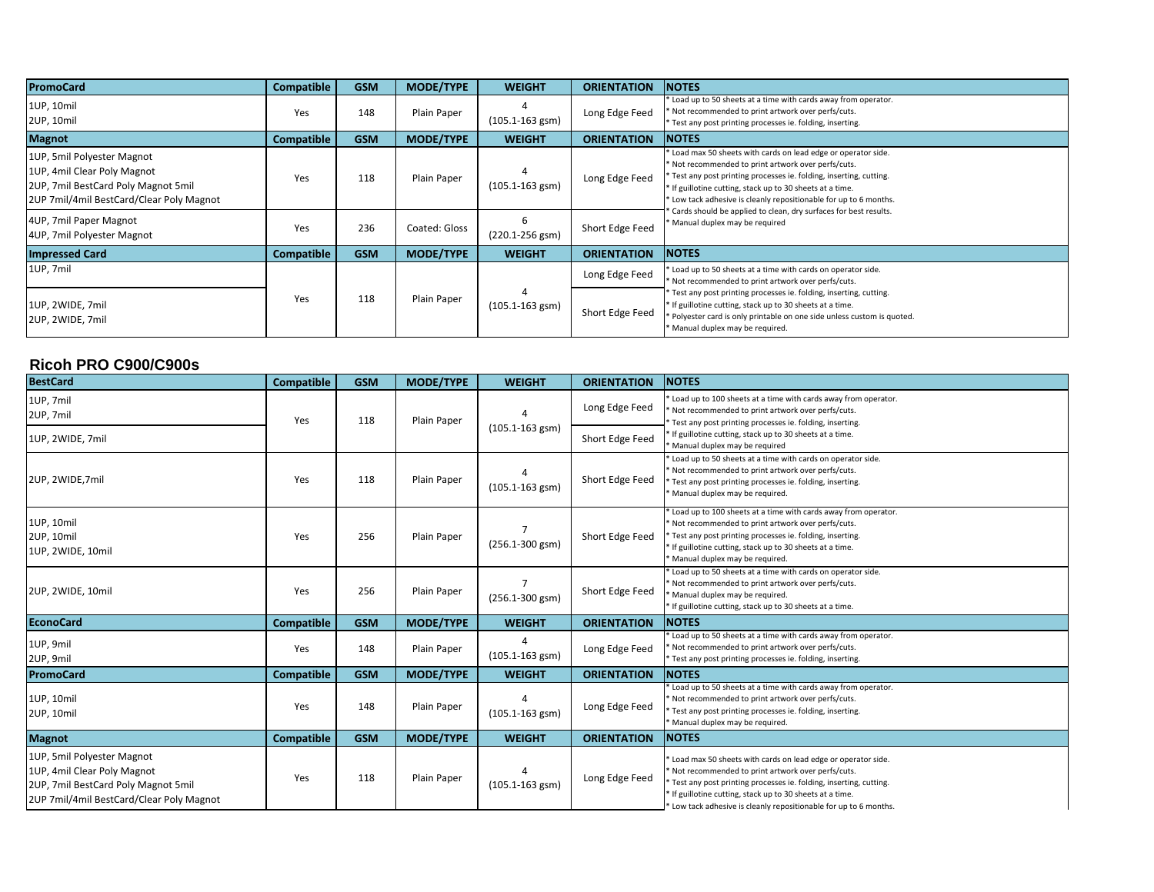| <b>PromoCard</b>                                                                                                                             | <b>Compatible</b> | <b>GSM</b> | <b>MODE/TYPE</b> | <b>WEIGHT</b>        | <b>ORIENTATION</b> | <b>NOTES</b>                                                                                                                                                                                                                                                                                                           |
|----------------------------------------------------------------------------------------------------------------------------------------------|-------------------|------------|------------------|----------------------|--------------------|------------------------------------------------------------------------------------------------------------------------------------------------------------------------------------------------------------------------------------------------------------------------------------------------------------------------|
| 1UP, 10mil<br>2UP, 10mil                                                                                                                     | Yes               | 148        | Plain Paper      | $(105.1 - 163$ gsm)  | Long Edge Feed     | Load up to 50 sheets at a time with cards away from operator.<br>Not recommended to print artwork over perfs/cuts.<br>Test any post printing processes ie. folding, inserting.                                                                                                                                         |
| <b>Magnot</b>                                                                                                                                | <b>Compatible</b> | <b>GSM</b> | <b>MODE/TYPE</b> | <b>WEIGHT</b>        | <b>ORIENTATION</b> | <b>NOTES</b>                                                                                                                                                                                                                                                                                                           |
| 1UP, 5mil Polyester Magnot<br>1UP, 4mil Clear Poly Magnot<br>2UP, 7mil BestCard Poly Magnot 5mil<br>2UP 7mil/4mil BestCard/Clear Poly Magnot | Yes               | 118        | Plain Paper      | $(105.1 - 163$ gsm)  | Long Edge Feed     | Load max 50 sheets with cards on lead edge or operator side.<br>Not recommended to print artwork over perfs/cuts.<br>* Test any post printing processes ie. folding, inserting, cutting.<br>If guillotine cutting, stack up to 30 sheets at a time.<br>Low tack adhesive is cleanly repositionable for up to 6 months. |
| 4UP, 7mil Paper Magnot<br>4UP, 7mil Polyester Magnot                                                                                         | Yes               | 236        | Coated: Gloss    | 6<br>(220.1-256 gsm) | Short Edge Feed    | Cards should be applied to clean, dry surfaces for best results.<br>Manual duplex may be required                                                                                                                                                                                                                      |
| <b>Impressed Card</b>                                                                                                                        | <b>Compatible</b> | <b>GSM</b> | <b>MODE/TYPE</b> | <b>WEIGHT</b>        | <b>ORIENTATION</b> | <b>NOTES</b>                                                                                                                                                                                                                                                                                                           |
| 1UP, 7mil                                                                                                                                    |                   |            |                  |                      | Long Edge Feed     | Load up to 50 sheets at a time with cards on operator side.<br>Not recommended to print artwork over perfs/cuts.                                                                                                                                                                                                       |
| 1UP, 2WIDE, 7mil<br>2UP, 2WIDE, 7mil                                                                                                         | Yes               | 118        | Plain Paper      | $(105.1 - 163$ gsm)  | Short Edge Feed    | Test any post printing processes ie. folding, inserting, cutting.<br>If guillotine cutting, stack up to 30 sheets at a time.<br>Polyester card is only printable on one side unless custom is quoted.<br>Manual duplex may be required.                                                                                |

#### **Ricoh PRO C900/C900s**

| <b>BestCard</b>                                                                                                                              | <b>Compatible</b> | <b>GSM</b> | <b>MODE/TYPE</b> | <b>WEIGHT</b>                         | <b>ORIENTATION</b> | <b>NOTES</b>                                                                                                                                                                                                                                                                                                         |
|----------------------------------------------------------------------------------------------------------------------------------------------|-------------------|------------|------------------|---------------------------------------|--------------------|----------------------------------------------------------------------------------------------------------------------------------------------------------------------------------------------------------------------------------------------------------------------------------------------------------------------|
| 1UP, 7mil<br>2UP, 7mil                                                                                                                       | Yes               | 118        | Plain Paper      | Δ<br>$(105.1 - 163$ gsm)              | Long Edge Feed     | Load up to 100 sheets at a time with cards away from operator.<br>Not recommended to print artwork over perfs/cuts.<br>Test any post printing processes ie. folding, inserting.                                                                                                                                      |
| 1UP, 2WIDE, 7mil                                                                                                                             |                   |            |                  |                                       | Short Edge Feed    | If guillotine cutting, stack up to 30 sheets at a time.<br>Manual duplex may be required                                                                                                                                                                                                                             |
| 2UP, 2WIDE, 7mil                                                                                                                             | Yes               | 118        | Plain Paper      | $(105.1 - 163$ gsm)                   | Short Edge Feed    | Load up to 50 sheets at a time with cards on operator side.<br>Not recommended to print artwork over perfs/cuts.<br>Test any post printing processes ie. folding, inserting.<br>Manual duplex may be required.                                                                                                       |
| 1UP, 10mil<br>2UP, 10mil<br>1UP, 2WIDE, 10mil                                                                                                | Yes               | 256        | Plain Paper      | $\overline{7}$<br>$(256.1 - 300$ gsm) | Short Edge Feed    | Load up to 100 sheets at a time with cards away from operator.<br>Not recommended to print artwork over perfs/cuts.<br>Test any post printing processes ie. folding, inserting.<br>If guillotine cutting, stack up to 30 sheets at a time.<br>Manual duplex may be required.                                         |
| 2UP, 2WIDE, 10mil                                                                                                                            | Yes               | 256        | Plain Paper      | $\overline{7}$<br>$(256.1 - 300$ gsm) | Short Edge Feed    | Load up to 50 sheets at a time with cards on operator side.<br>Not recommended to print artwork over perfs/cuts.<br>Manual duplex may be required.<br>If guillotine cutting, stack up to 30 sheets at a time.                                                                                                        |
| <b>EconoCard</b>                                                                                                                             | <b>Compatible</b> | <b>GSM</b> | <b>MODE/TYPE</b> | <b>WEIGHT</b>                         | <b>ORIENTATION</b> | <b>NOTES</b>                                                                                                                                                                                                                                                                                                         |
| 1UP, 9mil<br>2UP, 9mil                                                                                                                       | Yes               | 148        | Plain Paper      | 4<br>$(105.1 - 163$ gsm)              | Long Edge Feed     | Load up to 50 sheets at a time with cards away from operator.<br>Not recommended to print artwork over perfs/cuts.<br>'Test any post printing processes ie. folding, inserting.                                                                                                                                      |
| <b>PromoCard</b>                                                                                                                             | <b>Compatible</b> | <b>GSM</b> | <b>MODE/TYPE</b> | <b>WEIGHT</b>                         | <b>ORIENTATION</b> | <b>NOTES</b>                                                                                                                                                                                                                                                                                                         |
| 1UP, 10mil<br>2UP, 10mil                                                                                                                     | Yes               | 148        | Plain Paper      | $(105.1 - 163$ gsm)                   | Long Edge Feed     | Load up to 50 sheets at a time with cards away from operator.<br>Not recommended to print artwork over perfs/cuts.<br>Test any post printing processes ie. folding, inserting.<br>Manual duplex may be required.                                                                                                     |
| <b>Magnot</b>                                                                                                                                | <b>Compatible</b> | <b>GSM</b> | <b>MODE/TYPE</b> | <b>WEIGHT</b>                         | <b>ORIENTATION</b> | <b>NOTES</b>                                                                                                                                                                                                                                                                                                         |
| 1UP, 5mil Polyester Magnot<br>1UP, 4mil Clear Poly Magnot<br>2UP, 7mil BestCard Poly Magnot 5mil<br>2UP 7mil/4mil BestCard/Clear Poly Magnot | Yes               | 118        | Plain Paper      | 4<br>$(105.1 - 163$ gsm)              | Long Edge Feed     | Load max 50 sheets with cards on lead edge or operator side.<br>Not recommended to print artwork over perfs/cuts.<br>Test any post printing processes ie. folding, inserting, cutting.<br>If guillotine cutting, stack up to 30 sheets at a time.<br>Low tack adhesive is cleanly repositionable for up to 6 months. |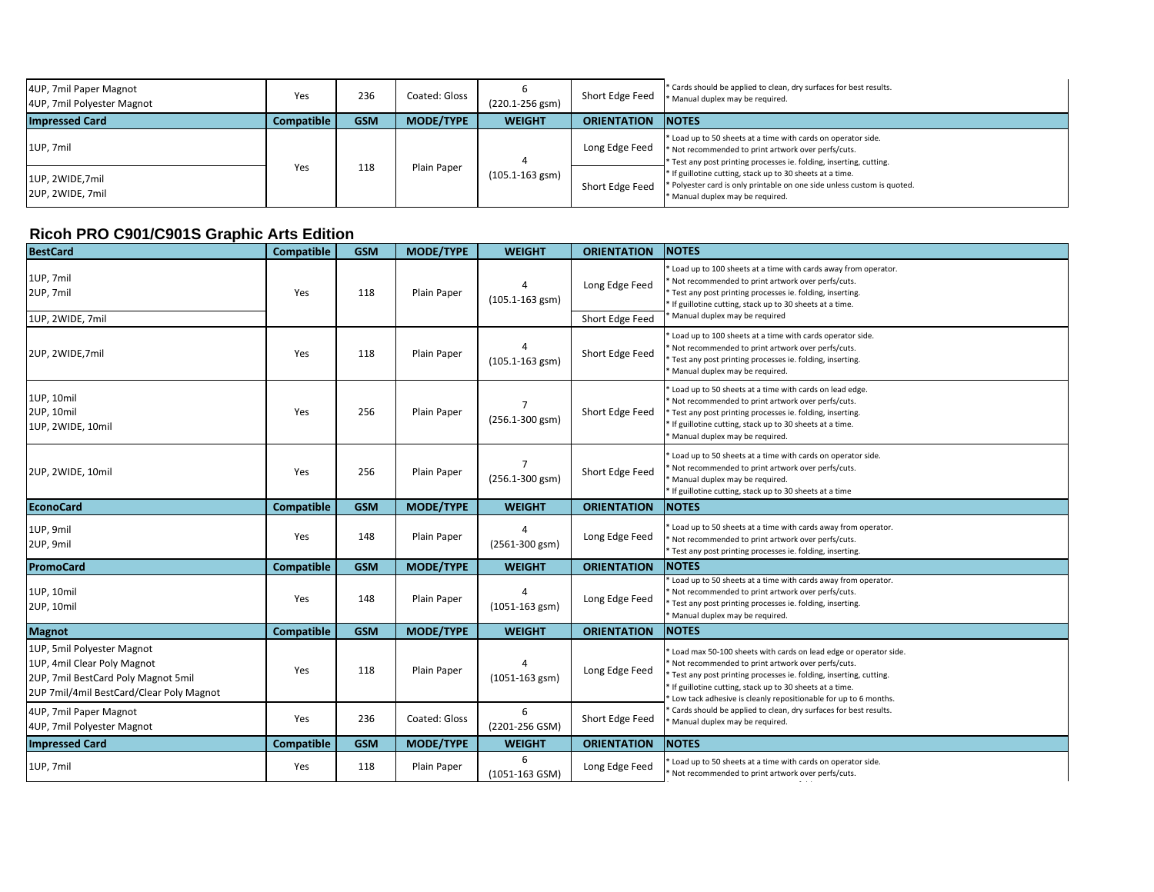| 4UP, 7mil Paper Magnot<br>4UP, 7mil Polyester Magnot | Yes               | 236        | Coated: Gloss    | $(220.1 - 256$ gsm) | Short Edge Feed    | * Cards should be applied to clean, dry surfaces for best results.<br>* Manual duplex may be required.                                                                                    |
|------------------------------------------------------|-------------------|------------|------------------|---------------------|--------------------|-------------------------------------------------------------------------------------------------------------------------------------------------------------------------------------------|
| <b>Impressed Card</b>                                | <b>Compatible</b> | <b>GSM</b> | <b>MODE/TYPE</b> | <b>WEIGHT</b>       | <b>ORIENTATION</b> | <b>INOTES</b>                                                                                                                                                                             |
| 1UP, 7mil                                            |                   | 118        | Plain Paper      | $(105.1 - 163$ gsm) | Long Edge Feed     | * Load up to 50 sheets at a time with cards on operator side.<br>* Not recommended to print artwork over perfs/cuts.<br>Test any post printing processes ie. folding, inserting, cutting. |
| 1UP, 2WIDE, 7mil<br>2UP, 2WIDE, 7mil                 | Yes               |            |                  |                     | Short Edge Feed    | * If guillotine cutting, stack up to 30 sheets at a time.<br>* Polyester card is only printable on one side unless custom is quoted.<br>* Manual duplex may be required.                  |

## **Ricoh PRO C901/C901S Graphic Arts Edition**

| <b>BestCard</b>                                                                                                                              | <b>Compatible</b> | <b>GSM</b> | MODE/TYPE        | <b>WEIGHT</b>                         | <b>ORIENTATION</b> | <b>NOTES</b>                                                                                                                                                                                                                                                                                                               |
|----------------------------------------------------------------------------------------------------------------------------------------------|-------------------|------------|------------------|---------------------------------------|--------------------|----------------------------------------------------------------------------------------------------------------------------------------------------------------------------------------------------------------------------------------------------------------------------------------------------------------------------|
| 1UP, 7mil<br>2UP, 7mil                                                                                                                       | Yes               | 118        | Plain Paper      | $(105.1 - 163$ gsm)                   | Long Edge Feed     | Load up to 100 sheets at a time with cards away from operator.<br>Not recommended to print artwork over perfs/cuts.<br>Test any post printing processes ie. folding, inserting.<br>' If guillotine cutting, stack up to 30 sheets at a time.                                                                               |
| 1UP, 2WIDE, 7mil                                                                                                                             |                   |            |                  |                                       | Short Edge Feed    | Manual duplex may be required                                                                                                                                                                                                                                                                                              |
| 2UP, 2WIDE, 7mil                                                                                                                             | Yes               | 118        | Plain Paper      | $(105.1 - 163$ gsm)                   | Short Edge Feed    | Load up to 100 sheets at a time with cards operator side.<br>Not recommended to print artwork over perfs/cuts.<br>Test any post printing processes ie. folding, inserting.<br>Manual duplex may be required.                                                                                                               |
| 1UP, 10mil<br>2UP, 10mil<br>1UP, 2WIDE, 10mil                                                                                                | Yes               | 256        | Plain Paper      | $(256.1 - 300$ gsm)                   | Short Edge Feed    | Load up to 50 sheets at a time with cards on lead edge.<br>Not recommended to print artwork over perfs/cuts.<br>Test any post printing processes ie. folding, inserting.<br>* If guillotine cutting, stack up to 30 sheets at a time.<br>Manual duplex may be required.                                                    |
| 2UP, 2WIDE, 10mil                                                                                                                            | Yes               | 256        | Plain Paper      | $\overline{7}$<br>$(256.1 - 300$ gsm) | Short Edge Feed    | Load up to 50 sheets at a time with cards on operator side.<br>Not recommended to print artwork over perfs/cuts.<br>Manual duplex may be required.<br>* If guillotine cutting, stack up to 30 sheets at a time                                                                                                             |
| <b>EconoCard</b>                                                                                                                             | <b>Compatible</b> | <b>GSM</b> | <b>MODE/TYPE</b> | <b>WEIGHT</b>                         | <b>ORIENTATION</b> | <b>NOTES</b>                                                                                                                                                                                                                                                                                                               |
| 1UP, 9mil<br>2UP, 9mil                                                                                                                       | Yes               | 148        | Plain Paper      | (2561-300 gsm)                        | Long Edge Feed     | Load up to 50 sheets at a time with cards away from operator.<br>Not recommended to print artwork over perfs/cuts.<br>Test any post printing processes ie. folding, inserting.                                                                                                                                             |
| <b>PromoCard</b>                                                                                                                             | <b>Compatible</b> | <b>GSM</b> | MODE/TYPE        | <b>WEIGHT</b>                         | <b>ORIENTATION</b> | <b>NOTES</b>                                                                                                                                                                                                                                                                                                               |
| 1UP, 10mil<br>2UP, 10mil                                                                                                                     | Yes               | 148        | Plain Paper      | $(1051 - 163$ gsm)                    | Long Edge Feed     | Load up to 50 sheets at a time with cards away from operator.<br>Not recommended to print artwork over perfs/cuts.<br>* Test any post printing processes ie. folding, inserting.<br>Manual duplex may be required.                                                                                                         |
| <b>Magnot</b>                                                                                                                                | <b>Compatible</b> | <b>GSM</b> | <b>MODE/TYPE</b> | <b>WEIGHT</b>                         | <b>ORIENTATION</b> | <b>NOTES</b>                                                                                                                                                                                                                                                                                                               |
| 1UP, 5mil Polyester Magnot<br>1UP, 4mil Clear Poly Magnot<br>2UP, 7mil BestCard Poly Magnot 5mil<br>2UP 7mil/4mil BestCard/Clear Poly Magnot | Yes               | 118        | Plain Paper      | $(1051 - 163$ gsm)                    | Long Edge Feed     | Load max 50-100 sheets with cards on lead edge or operator side.<br>Not recommended to print artwork over perfs/cuts.<br>Test any post printing processes ie. folding, inserting, cutting.<br>' If guillotine cutting, stack up to 30 sheets at a time.<br>Low tack adhesive is cleanly repositionable for up to 6 months. |
| 4UP, 7mil Paper Magnot<br>4UP, 7mil Polyester Magnot                                                                                         | Yes               | 236        | Coated: Gloss    | 6<br>(2201-256 GSM)                   | Short Edge Feed    | Cards should be applied to clean, dry surfaces for best results.<br>Manual duplex may be required.                                                                                                                                                                                                                         |
| <b>Impressed Card</b>                                                                                                                        | <b>Compatible</b> | <b>GSM</b> | <b>MODE/TYPE</b> | <b>WEIGHT</b>                         | <b>ORIENTATION</b> | <b>NOTES</b>                                                                                                                                                                                                                                                                                                               |
| 1UP, 7mil                                                                                                                                    | Yes               | 118        | Plain Paper      | 6<br>(1051-163 GSM)                   | Long Edge Feed     | Load up to 50 sheets at a time with cards on operator side.<br>Not recommended to print artwork over perfs/cuts.                                                                                                                                                                                                           |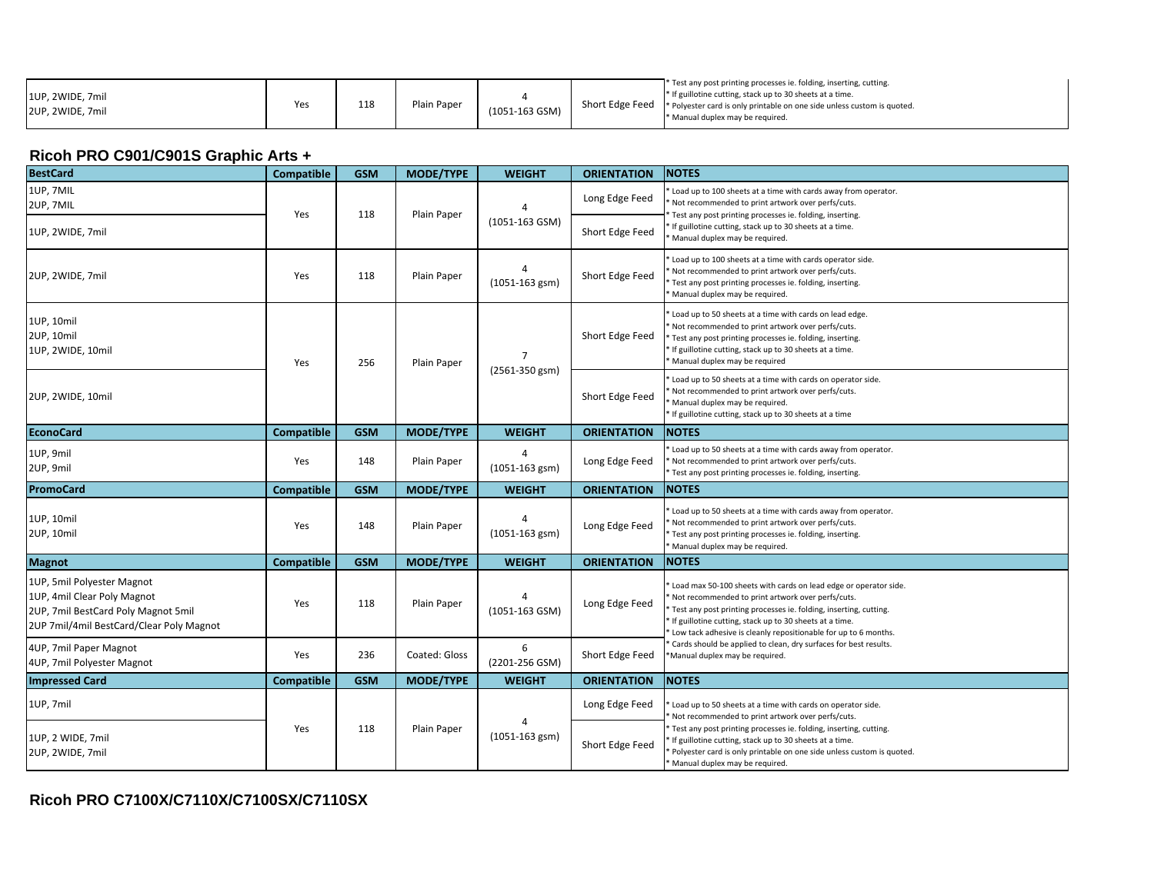| 1UP, 2WIDE, 7mil<br>2UP. 2WIDE. 7mil | Yes | 118 | Plain Paper | (1051-163 GSM) |  | * Test any post printing processes ie. folding, inserting, cutting.<br>* If guillotine cutting, stack up to 30 sheets at a time.<br>  Short Edge Feed  * Polyester card is only printable on one side unless custom is quoted.<br>Manual duplex may be required. |
|--------------------------------------|-----|-----|-------------|----------------|--|------------------------------------------------------------------------------------------------------------------------------------------------------------------------------------------------------------------------------------------------------------------|
|--------------------------------------|-----|-----|-------------|----------------|--|------------------------------------------------------------------------------------------------------------------------------------------------------------------------------------------------------------------------------------------------------------------|

# **Ricoh PRO C901/C901S Graphic Arts +**

| <b>BestCard</b>                                                                                                                              | <b>Compatible</b> | <b>GSM</b> | <b>MODE/TYPE</b> | <b>WEIGHT</b>           | <b>ORIENTATION</b> | <b>NOTES</b>                                                                                                                                                                                                                                                                                                                                                  |
|----------------------------------------------------------------------------------------------------------------------------------------------|-------------------|------------|------------------|-------------------------|--------------------|---------------------------------------------------------------------------------------------------------------------------------------------------------------------------------------------------------------------------------------------------------------------------------------------------------------------------------------------------------------|
| 1UP, 7MIL<br>2UP, 7MIL                                                                                                                       | Yes               | 118        | Plain Paper      |                         | Long Edge Feed     | Load up to 100 sheets at a time with cards away from operator.<br>Not recommended to print artwork over perfs/cuts.<br>Test any post printing processes ie. folding, inserting.                                                                                                                                                                               |
| 1UP, 2WIDE, 7mil                                                                                                                             |                   |            |                  | (1051-163 GSM)          | Short Edge Feed    | If guillotine cutting, stack up to 30 sheets at a time.<br>Manual duplex may be required.                                                                                                                                                                                                                                                                     |
| 2UP, 2WIDE, 7mil                                                                                                                             | Yes               | 118        | Plain Paper      | $(1051 - 163$ gsm)      | Short Edge Feed    | Load up to 100 sheets at a time with cards operator side.<br>Not recommended to print artwork over perfs/cuts.<br>Test any post printing processes ie. folding, inserting.<br>Manual duplex may be required.                                                                                                                                                  |
| 1UP, 10mil<br>2UP, 10mil<br>1UP, 2WIDE, 10mil                                                                                                | Yes               | 256        | Plain Paper      | $\overline{7}$          | Short Edge Feed    | Load up to 50 sheets at a time with cards on lead edge.<br>Not recommended to print artwork over perfs/cuts.<br>Test any post printing processes ie. folding, inserting.<br>If guillotine cutting, stack up to 30 sheets at a time.<br>Manual duplex may be required                                                                                          |
| 2UP, 2WIDE, 10mil                                                                                                                            |                   |            |                  | (2561-350 gsm)          | Short Edge Feed    | Load up to 50 sheets at a time with cards on operator side.<br>Not recommended to print artwork over perfs/cuts.<br>Manual duplex may be required.<br>If guillotine cutting, stack up to 30 sheets at a time                                                                                                                                                  |
| <b>EconoCard</b>                                                                                                                             | <b>Compatible</b> | <b>GSM</b> | <b>MODE/TYPE</b> | <b>WEIGHT</b>           | <b>ORIENTATION</b> | <b>NOTES</b>                                                                                                                                                                                                                                                                                                                                                  |
| 1UP, 9mil<br>2UP, 9mil                                                                                                                       | Yes               | 148        | Plain Paper      | 4<br>$(1051 - 163$ gsm) | Long Edge Feed     | Load up to 50 sheets at a time with cards away from operator.<br>Not recommended to print artwork over perfs/cuts.<br>Test any post printing processes ie. folding, inserting.                                                                                                                                                                                |
| <b>PromoCard</b>                                                                                                                             | <b>Compatible</b> | <b>GSM</b> | <b>MODE/TYPE</b> | <b>WEIGHT</b>           | <b>ORIENTATION</b> | <b>NOTES</b>                                                                                                                                                                                                                                                                                                                                                  |
| 1UP, 10mil<br>2UP, 10mil                                                                                                                     | Yes               | 148        | Plain Paper      | $(1051 - 163$ gsm)      | Long Edge Feed     | Load up to 50 sheets at a time with cards away from operator.<br>Not recommended to print artwork over perfs/cuts.<br>Test any post printing processes ie. folding, inserting.<br>Manual duplex may be required.                                                                                                                                              |
| <b>Magnot</b>                                                                                                                                | <b>Compatible</b> | <b>GSM</b> | MODE/TYPE        | <b>WEIGHT</b>           | <b>ORIENTATION</b> | <b>NOTES</b>                                                                                                                                                                                                                                                                                                                                                  |
| 1UP, 5mil Polyester Magnot<br>1UP, 4mil Clear Poly Magnot<br>2UP, 7mil BestCard Poly Magnot 5mil<br>2UP 7mil/4mil BestCard/Clear Poly Magnot | Yes               | 118        | Plain Paper      | $(1051 - 163$ GSM)      | Long Edge Feed     | Load max 50-100 sheets with cards on lead edge or operator side.<br>Not recommended to print artwork over perfs/cuts.<br>Test any post printing processes ie. folding, inserting, cutting.<br>If guillotine cutting, stack up to 30 sheets at a time.<br>Low tack adhesive is cleanly repositionable for up to 6 months.                                      |
| 4UP, 7mil Paper Magnot<br>4UP, 7mil Polyester Magnot                                                                                         | Yes               | 236        | Coated: Gloss    | 6<br>(2201-256 GSM)     | Short Edge Feed    | Cards should be applied to clean, dry surfaces for best results.<br>'Manual duplex may be required.                                                                                                                                                                                                                                                           |
| <b>Impressed Card</b>                                                                                                                        | <b>Compatible</b> | <b>GSM</b> | <b>MODE/TYPE</b> | <b>WEIGHT</b>           | <b>ORIENTATION</b> | <b>NOTES</b>                                                                                                                                                                                                                                                                                                                                                  |
| 1UP, 7mil                                                                                                                                    |                   |            |                  | Δ<br>$(1051 - 163$ gsm) | Long Edge Feed     | Load up to 50 sheets at a time with cards on operator side.<br>Not recommended to print artwork over perfs/cuts.<br>Test any post printing processes ie. folding, inserting, cutting.<br>If guillotine cutting, stack up to 30 sheets at a time.<br>Polyester card is only printable on one side unless custom is quoted.<br>* Manual duplex may be required. |
| 1UP, 2 WIDE, 7mil<br>2UP, 2WIDE, 7mil                                                                                                        | Yes               | 118        | Plain Paper      |                         | Short Edge Feed    |                                                                                                                                                                                                                                                                                                                                                               |